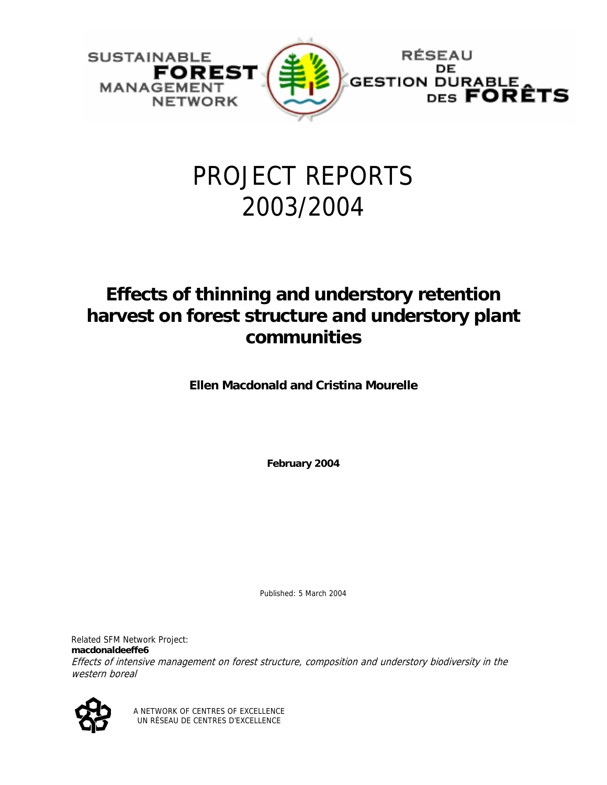

# PROJECT REPORTS 2003/2004

# **Effects of thinning and understory retention harvest on forest structure and understory plant communities**

**Ellen Macdonald and Cristina Mourelle** 

**February 2004** 

Published: 5 March 2004

Related SFM Network Project: **macdonaldeeffe6**  Effects of intensive management on forest structure, composition and understory biodiversity in the western boreal



A NETWORK OF CENTRES OF EXCELLENCE UN RÉSEAU DE CENTRES D'EXCELLENCE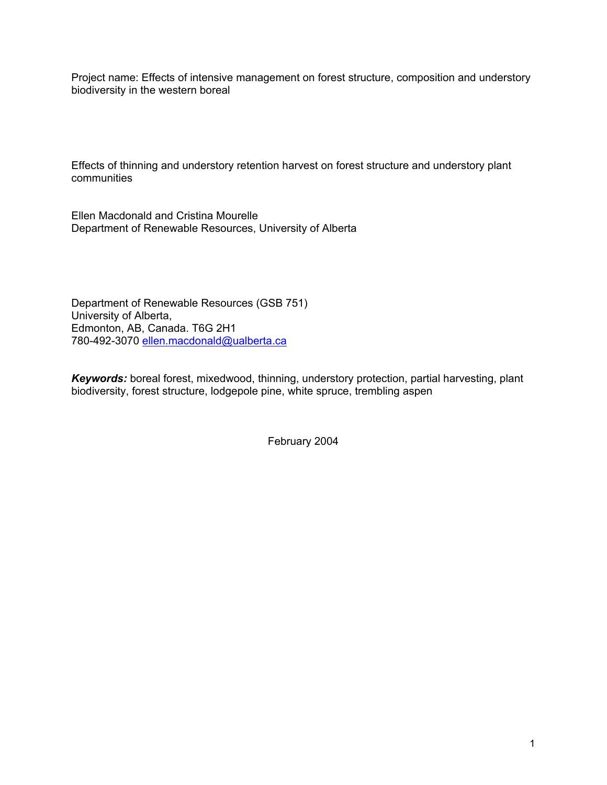Project name: Effects of intensive management on forest structure, composition and understory biodiversity in the western boreal

Effects of thinning and understory retention harvest on forest structure and understory plant communities

Ellen Macdonald and Cristina Mourelle Department of Renewable Resources, University of Alberta

Department of Renewable Resources (GSB 751) University of Alberta, Edmonton, AB, Canada. T6G 2H1 780-492-3070 ellen.macdonald@ualberta.ca

*Keywords:* boreal forest, mixedwood, thinning, understory protection, partial harvesting, plant biodiversity, forest structure, lodgepole pine, white spruce, trembling aspen

February 2004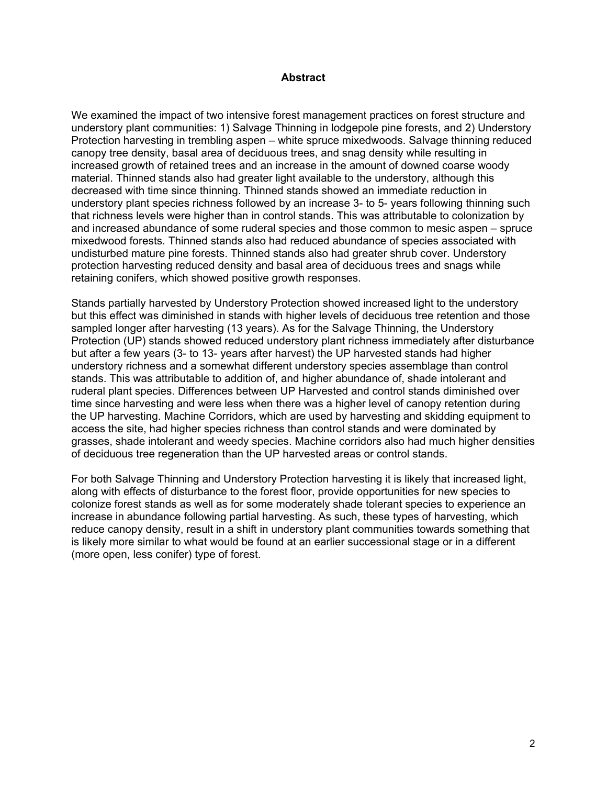### **Abstract**

We examined the impact of two intensive forest management practices on forest structure and understory plant communities: 1) Salvage Thinning in lodgepole pine forests, and 2) Understory Protection harvesting in trembling aspen – white spruce mixedwoods. Salvage thinning reduced canopy tree density, basal area of deciduous trees, and snag density while resulting in increased growth of retained trees and an increase in the amount of downed coarse woody material. Thinned stands also had greater light available to the understory, although this decreased with time since thinning. Thinned stands showed an immediate reduction in understory plant species richness followed by an increase 3- to 5- years following thinning such that richness levels were higher than in control stands. This was attributable to colonization by and increased abundance of some ruderal species and those common to mesic aspen – spruce mixedwood forests. Thinned stands also had reduced abundance of species associated with undisturbed mature pine forests. Thinned stands also had greater shrub cover. Understory protection harvesting reduced density and basal area of deciduous trees and snags while retaining conifers, which showed positive growth responses.

Stands partially harvested by Understory Protection showed increased light to the understory but this effect was diminished in stands with higher levels of deciduous tree retention and those sampled longer after harvesting (13 years). As for the Salvage Thinning, the Understory Protection (UP) stands showed reduced understory plant richness immediately after disturbance but after a few years (3- to 13- years after harvest) the UP harvested stands had higher understory richness and a somewhat different understory species assemblage than control stands. This was attributable to addition of, and higher abundance of, shade intolerant and ruderal plant species. Differences between UP Harvested and control stands diminished over time since harvesting and were less when there was a higher level of canopy retention during the UP harvesting. Machine Corridors, which are used by harvesting and skidding equipment to access the site, had higher species richness than control stands and were dominated by grasses, shade intolerant and weedy species. Machine corridors also had much higher densities of deciduous tree regeneration than the UP harvested areas or control stands.

For both Salvage Thinning and Understory Protection harvesting it is likely that increased light, along with effects of disturbance to the forest floor, provide opportunities for new species to colonize forest stands as well as for some moderately shade tolerant species to experience an increase in abundance following partial harvesting. As such, these types of harvesting, which reduce canopy density, result in a shift in understory plant communities towards something that is likely more similar to what would be found at an earlier successional stage or in a different (more open, less conifer) type of forest.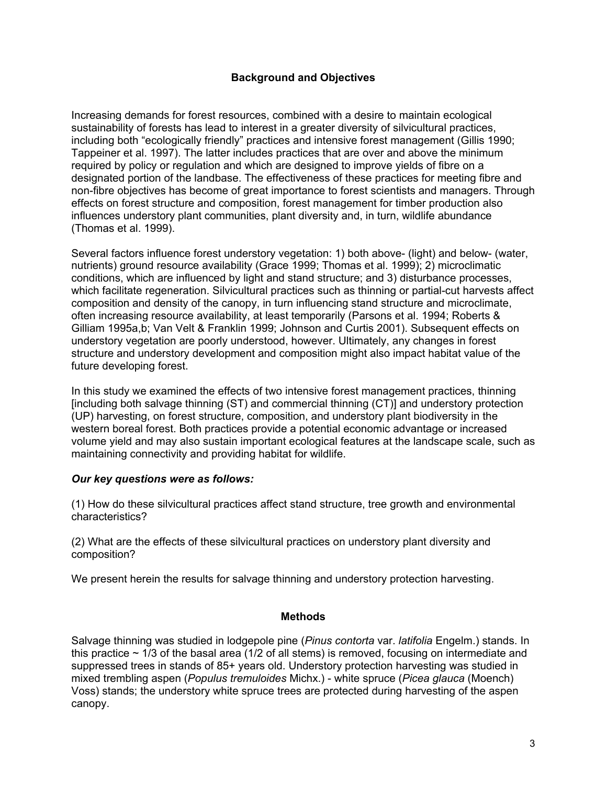# **Background and Objectives**

Increasing demands for forest resources, combined with a desire to maintain ecological sustainability of forests has lead to interest in a greater diversity of silvicultural practices, including both "ecologically friendly" practices and intensive forest management (Gillis 1990; Tappeiner et al. 1997). The latter includes practices that are over and above the minimum required by policy or regulation and which are designed to improve yields of fibre on a designated portion of the landbase. The effectiveness of these practices for meeting fibre and non-fibre objectives has become of great importance to forest scientists and managers. Through effects on forest structure and composition, forest management for timber production also influences understory plant communities, plant diversity and, in turn, wildlife abundance (Thomas et al. 1999).

Several factors influence forest understory vegetation: 1) both above- (light) and below- (water, nutrients) ground resource availability (Grace 1999; Thomas et al. 1999); 2) microclimatic conditions, which are influenced by light and stand structure; and 3) disturbance processes, which facilitate regeneration. Silvicultural practices such as thinning or partial-cut harvests affect composition and density of the canopy, in turn influencing stand structure and microclimate, often increasing resource availability, at least temporarily (Parsons et al. 1994; Roberts & Gilliam 1995a,b; Van Velt & Franklin 1999; Johnson and Curtis 2001). Subsequent effects on understory vegetation are poorly understood, however. Ultimately, any changes in forest structure and understory development and composition might also impact habitat value of the future developing forest.

In this study we examined the effects of two intensive forest management practices, thinning [including both salvage thinning (ST) and commercial thinning (CT)] and understory protection (UP) harvesting, on forest structure, composition, and understory plant biodiversity in the western boreal forest. Both practices provide a potential economic advantage or increased volume yield and may also sustain important ecological features at the landscape scale, such as maintaining connectivity and providing habitat for wildlife.

# *Our key questions were as follows:*

(1) How do these silvicultural practices affect stand structure, tree growth and environmental characteristics?

(2) What are the effects of these silvicultural practices on understory plant diversity and composition?

We present herein the results for salvage thinning and understory protection harvesting.

# **Methods**

Salvage thinning was studied in lodgepole pine (*Pinus contorta* var. *latifolia* Engelm.) stands. In this practice  $\sim$  1/3 of the basal area (1/2 of all stems) is removed, focusing on intermediate and suppressed trees in stands of 85+ years old. Understory protection harvesting was studied in mixed trembling aspen (*Populus tremuloides* Michx.) - white spruce (*Picea glauca* (Moench) Voss) stands; the understory white spruce trees are protected during harvesting of the aspen canopy.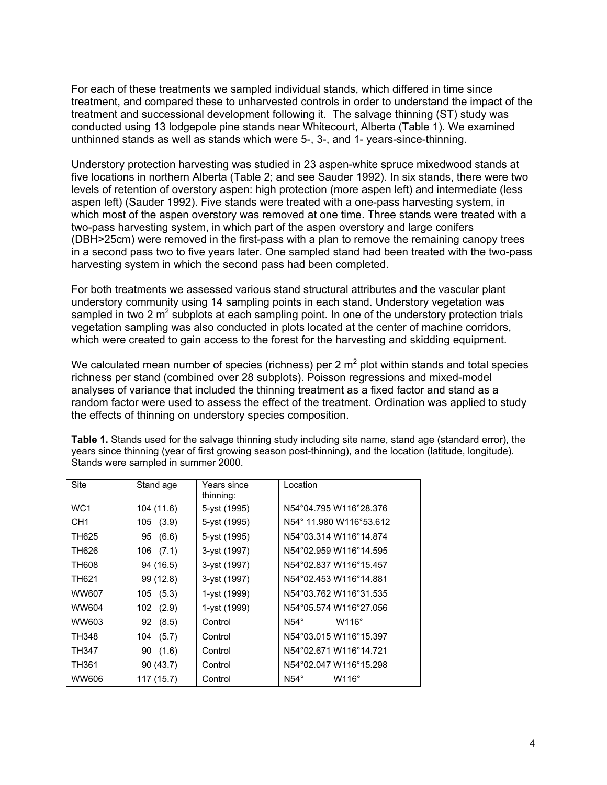For each of these treatments we sampled individual stands, which differed in time since treatment, and compared these to unharvested controls in order to understand the impact of the treatment and successional development following it. The salvage thinning (ST) study was conducted using 13 lodgepole pine stands near Whitecourt, Alberta (Table 1). We examined unthinned stands as well as stands which were 5-, 3-, and 1- years-since-thinning.

Understory protection harvesting was studied in 23 aspen-white spruce mixedwood stands at five locations in northern Alberta (Table 2; and see Sauder 1992). In six stands, there were two levels of retention of overstory aspen: high protection (more aspen left) and intermediate (less aspen left) (Sauder 1992). Five stands were treated with a one-pass harvesting system, in which most of the aspen overstory was removed at one time. Three stands were treated with a two-pass harvesting system, in which part of the aspen overstory and large conifers (DBH>25cm) were removed in the first-pass with a plan to remove the remaining canopy trees in a second pass two to five years later. One sampled stand had been treated with the two-pass harvesting system in which the second pass had been completed.

For both treatments we assessed various stand structural attributes and the vascular plant understory community using 14 sampling points in each stand. Understory vegetation was sampled in two 2  $m^2$  subplots at each sampling point. In one of the understory protection trials vegetation sampling was also conducted in plots located at the center of machine corridors, which were created to gain access to the forest for the harvesting and skidding equipment.

We calculated mean number of species (richness) per 2  $m^2$  plot within stands and total species richness per stand (combined over 28 subplots). Poisson regressions and mixed-model analyses of variance that included the thinning treatment as a fixed factor and stand as a random factor were used to assess the effect of the treatment. Ordination was applied to study the effects of thinning on understory species composition.

| Site            | Stand age     | Years since<br>thinning: | Location                    |
|-----------------|---------------|--------------------------|-----------------------------|
| WC <sub>1</sub> | 104 (11.6)    | 5-yst (1995)             | N54°04.795 W116°28.376      |
| CH <sub>1</sub> | 105(3.9)      | 5-yst (1995)             | N54° 11.980 W116°53.612     |
| TH625           | 95 (6.6)      | 5-yst (1995)             | N54°03.314 W116°14.874      |
| TH626           | 106 (7.1)     | 3-yst (1997)             | N54°02.959 W116°14.595      |
| TH608           | 94 (16.5)     | 3-yst (1997)             | N54°02.837 W116°15.457      |
| TH621           | 99 (12.8)     | 3-yst (1997)             | N54°02.453 W116°14.881      |
| WW607           | 105(5.3)      | 1-yst (1999)             | N54°03.762 W116°31.535      |
| WW604           | $102$ $(2.9)$ | 1-yst (1999)             | N54°05.574 W116°27.056      |
| WW603           | 92 (8.5)      | Control                  | $N54^\circ$<br>$W116^\circ$ |
| TH348           | 104 (5.7)     | Control                  | N54°03.015 W116°15.397      |
| <b>TH347</b>    | 90(1.6)       | Control                  | N54°02.671 W116°14.721      |
| TH361           | 90(43.7)      | Control                  | N54°02.047 W116°15.298      |
| <b>WW606</b>    | 117 (15.7)    | Control                  | $N54^\circ$<br>$W116^\circ$ |

**Table 1.** Stands used for the salvage thinning study including site name, stand age (standard error), the years since thinning (year of first growing season post-thinning), and the location (latitude, longitude). Stands were sampled in summer 2000.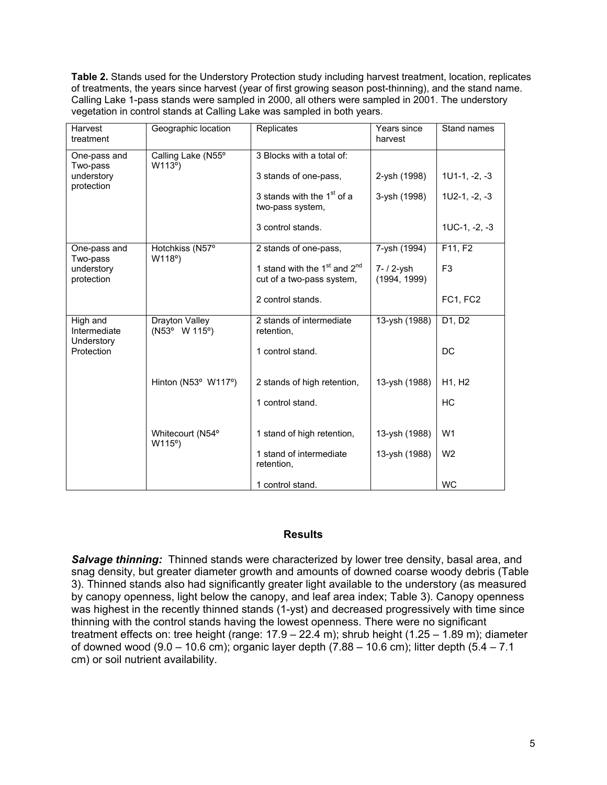**Table 2.** Stands used for the Understory Protection study including harvest treatment, location, replicates of treatments, the years since harvest (year of first growing season post-thinning), and the stand name. Calling Lake 1-pass stands were sampled in 2000, all others were sampled in 2001. The understory vegetation in control stands at Calling Lake was sampled in both years.

| Harvest<br>treatment                   | Geographic location             | Replicates                                                    | Years since<br>harvest     | Stand names                     |
|----------------------------------------|---------------------------------|---------------------------------------------------------------|----------------------------|---------------------------------|
| One-pass and<br>Two-pass               | Calling Lake (N55°<br>W113°)    | 3 Blocks with a total of:                                     |                            |                                 |
| understory<br>protection               |                                 | 3 stands of one-pass,                                         | 2-ysh (1998)               | $1U1-1, -2, -3$                 |
|                                        |                                 | 3 stands with the 1 <sup>st</sup> of a<br>two-pass system,    | 3-ysh (1998)               | $1U2-1, -2, -3$                 |
|                                        |                                 | 3 control stands.                                             |                            | $1UC-1, -2, -3$                 |
| One-pass and<br>Two-pass               | Hotchkiss (N57°<br>W118°)       | 2 stands of one-pass,                                         | 7-ysh (1994)               | F11, F2                         |
| understory<br>protection               |                                 | 1 stand with the $1st$ and $2nd$<br>cut of a two-pass system, | 7- / 2-ysh<br>(1994, 1999) | F <sub>3</sub>                  |
|                                        |                                 | 2 control stands.                                             |                            | FC1, FC2                        |
| High and<br>Intermediate<br>Understory | Drayton Valley<br>(N53° W 115°) | 2 stands of intermediate<br>retention,                        | 13-ysh (1988)              | D1, D2                          |
| Protection                             |                                 | 1 control stand.                                              |                            | <b>DC</b>                       |
|                                        | Hinton (N53° W117°)             | 2 stands of high retention,                                   | 13-ysh (1988)              | H <sub>1</sub> , H <sub>2</sub> |
|                                        |                                 | 1 control stand.                                              |                            | HC                              |
|                                        | Whitecourt (N54°<br>W115°)      | 1 stand of high retention,                                    | 13-ysh (1988)              | W <sub>1</sub>                  |
|                                        |                                 | 1 stand of intermediate<br>retention,                         | 13-ysh (1988)              | W <sub>2</sub>                  |
|                                        |                                 | 1 control stand.                                              |                            | <b>WC</b>                       |

# **Results**

**Salvage thinning:** Thinned stands were characterized by lower tree density, basal area, and snag density, but greater diameter growth and amounts of downed coarse woody debris (Table 3). Thinned stands also had significantly greater light available to the understory (as measured by canopy openness, light below the canopy, and leaf area index; Table 3). Canopy openness was highest in the recently thinned stands (1-yst) and decreased progressively with time since thinning with the control stands having the lowest openness. There were no significant treatment effects on: tree height (range: 17.9 – 22.4 m); shrub height (1.25 – 1.89 m); diameter of downed wood (9.0 – 10.6 cm); organic layer depth (7.88 – 10.6 cm); litter depth (5.4 – 7.1 cm) or soil nutrient availability.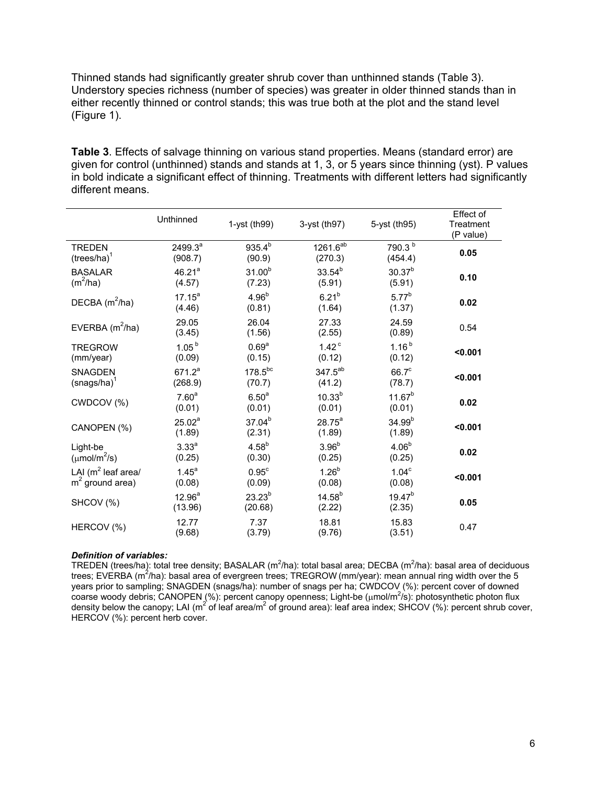Thinned stands had significantly greater shrub cover than unthinned stands (Table 3). Understory species richness (number of species) was greater in older thinned stands than in either recently thinned or control stands; this was true both at the plot and the stand level (Figure 1).

**Table 3**. Effects of salvage thinning on various stand properties. Means (standard error) are given for control (unthinned) stands and stands at 1, 3, or 5 years since thinning (yst). P values in bold indicate a significant effect of thinning. Treatments with different letters had significantly different means.

|                                             | Unthinned                    | 1-yst $(th99)$              | 3-yst (th97)                    | 5-yst (th95)                  | Effect of<br>Treatment<br>(P value) |
|---------------------------------------------|------------------------------|-----------------------------|---------------------------------|-------------------------------|-------------------------------------|
| <b>TREDEN</b><br>$(trees/ha)^1$             | $2499.3^{a}$<br>(908.7)      | $935.4^{b}$<br>(90.9)       | 1261.6 <sup>ab</sup><br>(270.3) | 790.3 <sup>b</sup><br>(454.4) | 0.05                                |
| <b>BASALAR</b><br>$(m^2/ha)$                | 46.21 <sup>a</sup><br>(4.57) | $31.00^{b}$<br>(7.23)       | $33.54^{b}$<br>(5.91)           | $30.37^{b}$<br>(5.91)         | 0.10                                |
| DECBA $(m^2/ha)$                            | $17.15^a$<br>(4.46)          | 4.96 <sup>b</sup><br>(0.81) | $6.21^{b}$<br>(1.64)            | $5.77^{b}$<br>(1.37)          | 0.02                                |
| EVERBA $(m^2/ha)$                           | 29.05<br>(3.45)              | 26.04<br>(1.56)             | 27.33<br>(2.55)                 | 24.59<br>(0.89)               | 0.54                                |
| <b>TREGROW</b><br>(mm/year)                 | 1.05 <sup>b</sup><br>(0.09)  | 0.69 <sup>a</sup><br>(0.15) | 1.42 <sup>c</sup><br>(0.12)     | $1.16^{b}$<br>(0.12)          | < 0.001                             |
| <b>SNAGDEN</b><br>$(snags/ha)^1$            | $671.2^a$<br>(268.9)         | $178.5^{bc}$<br>(70.7)      | 347.5 <sup>ab</sup><br>(41.2)   | $66.7^c$<br>(78.7)            | < 0.001                             |
| CWDCOV (%)                                  | 7.60 <sup>a</sup><br>(0.01)  | 6.50 <sup>a</sup><br>(0.01) | $10.33^{b}$<br>(0.01)           | $11.67^{b}$<br>(0.01)         | 0.02                                |
| CANOPEN (%)                                 | 25.02 <sup>a</sup><br>(1.89) | $37.04^{b}$<br>(2.31)       | $28.75^{a}$<br>(1.89)           | $34.99^{b}$<br>(1.89)         | < 0.001                             |
| Light-be<br>$(\mu \text{mol/m}^2/\text{s})$ | 3.33 <sup>a</sup><br>(0.25)  | $4.58^{b}$<br>(0.30)        | 3.96 <sup>b</sup><br>(0.25)     | $4.06^{b}$<br>(0.25)          | 0.02                                |
| LAI ( $m^2$ leaf area/<br>$m2$ ground area) | $1.45^a$<br>(0.08)           | 0.95 <sup>c</sup><br>(0.09) | $1.26^{b}$<br>(0.08)            | 1.04 <sup>c</sup><br>(0.08)   | < 0.001                             |
| SHCOV (%)                                   | $12.96^{a}$<br>(13.96)       | $23.23^{b}$<br>(20.68)      | $14.58^{b}$<br>(2.22)           | $19.47^{b}$<br>(2.35)         | 0.05                                |
| HERCOV (%)                                  | 12.77<br>(9.68)              | 7.37<br>(3.79)              | 18.81<br>(9.76)                 | 15.83<br>(3.51)               | 0.47                                |

#### *Definition of variables:*

TREDEN (trees/ha): total tree density; BASALAR (m<sup>2</sup>/ha): total basal area; DECBA (m<sup>2</sup>/ha): basal area of deciduous trees; EVERBA (m<sup>2</sup>/ha): basal area of evergreen trees; TREGROW (mm/year): mean annual ring width over the 5 years prior to sampling; SNAGDEN (snags/ha): number of snags per ha; CWDCOV (%): percent cover of downed coarse woody debris; CANOPEN (%): percent canopy openness; Light-be (µmol/m<sup>2</sup>/s): photosynthetic photon flux density below the canopy; LAI (m<sup>2</sup> of leaf area/m<sup>2</sup> of ground area): leaf area index; SHCOV (%): percent shrub cover, HERCOV (%): percent herb cover.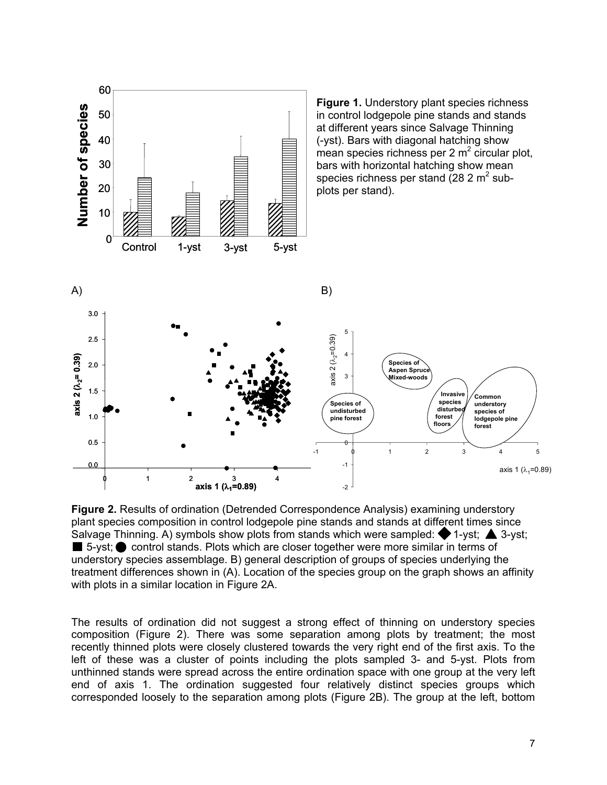

**Figure 2.** Results of ordination (Detrended Correspondence Analysis) examining understory plant species composition in control lodgepole pine stands and stands at different times since Salvage Thinning. A) symbols show plots from stands which were sampled:  $\blacklozenge$  1-yst;  $\blacktriangle$  3-yst;  $\blacksquare$  5-yst;  $\lozenge$  control stands. Plots which are closer together were more similar in terms of understory species assemblage. B) general description of groups of species underlying the treatment differences shown in (A). Location of the species group on the graph shows an affinity with plots in a similar location in Figure 2A.

The results of ordination did not suggest a strong effect of thinning on understory species composition (Figure 2). There was some separation among plots by treatment; the most recently thinned plots were closely clustered towards the very right end of the first axis. To the left of these was a cluster of points including the plots sampled 3- and 5-yst. Plots from unthinned stands were spread across the entire ordination space with one group at the very left end of axis 1. The ordination suggested four relatively distinct species groups which corresponded loosely to the separation among plots (Figure 2B). The group at the left, bottom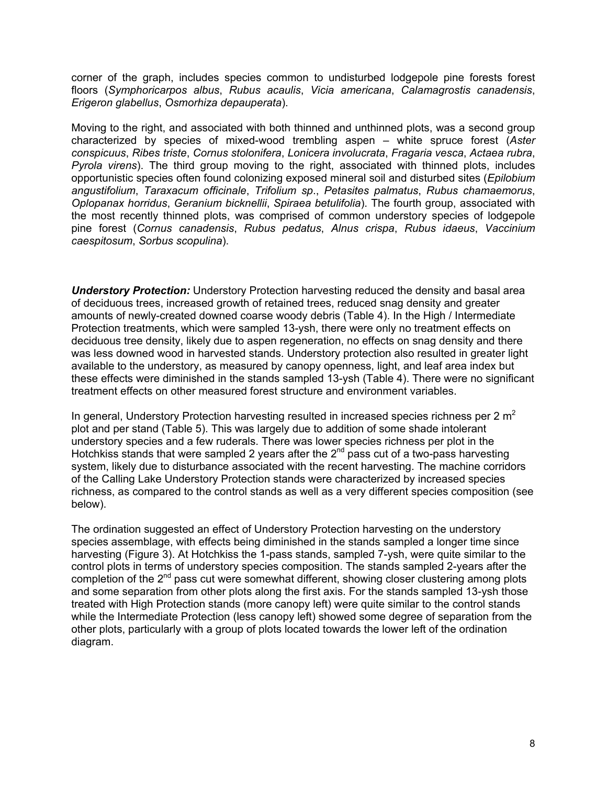corner of the graph, includes species common to undisturbed lodgepole pine forests forest floors (*Symphoricarpos albus*, *Rubus acaulis*, *Vicia americana*, *Calamagrostis canadensis*, *Erigeron glabellus*, *Osmorhiza depauperata*).

Moving to the right, and associated with both thinned and unthinned plots, was a second group characterized by species of mixed-wood trembling aspen – white spruce forest (*Aster conspicuus*, *Ribes triste*, *Cornus stolonifera*, *Lonicera involucrata*, *Fragaria vesca*, *Actaea rubra*, *Pyrola virens*). The third group moving to the right, associated with thinned plots, includes opportunistic species often found colonizing exposed mineral soil and disturbed sites (*Epilobium angustifolium*, *Taraxacum officinale*, *Trifolium sp*., *Petasites palmatus*, *Rubus chamaemorus*, *Oplopanax horridus*, *Geranium bicknellii*, *Spiraea betulifolia*). The fourth group, associated with the most recently thinned plots, was comprised of common understory species of lodgepole pine forest (*Cornus canadensis*, *Rubus pedatus*, *Alnus crispa*, *Rubus idaeus*, *Vaccinium caespitosum*, *Sorbus scopulina*).

*Understory Protection:* Understory Protection harvesting reduced the density and basal area of deciduous trees, increased growth of retained trees, reduced snag density and greater amounts of newly-created downed coarse woody debris (Table 4). In the High / Intermediate Protection treatments, which were sampled 13-ysh, there were only no treatment effects on deciduous tree density, likely due to aspen regeneration, no effects on snag density and there was less downed wood in harvested stands. Understory protection also resulted in greater light available to the understory, as measured by canopy openness, light, and leaf area index but these effects were diminished in the stands sampled 13-ysh (Table 4). There were no significant treatment effects on other measured forest structure and environment variables.

In general, Understory Protection harvesting resulted in increased species richness per 2  $m<sup>2</sup>$ plot and per stand (Table 5). This was largely due to addition of some shade intolerant understory species and a few ruderals. There was lower species richness per plot in the Hotchkiss stands that were sampled 2 years after the  $2<sup>nd</sup>$  pass cut of a two-pass harvesting system, likely due to disturbance associated with the recent harvesting. The machine corridors of the Calling Lake Understory Protection stands were characterized by increased species richness, as compared to the control stands as well as a very different species composition (see below).

The ordination suggested an effect of Understory Protection harvesting on the understory species assemblage, with effects being diminished in the stands sampled a longer time since harvesting (Figure 3). At Hotchkiss the 1-pass stands, sampled 7-ysh, were quite similar to the control plots in terms of understory species composition. The stands sampled 2-years after the completion of the 2<sup>nd</sup> pass cut were somewhat different, showing closer clustering among plots and some separation from other plots along the first axis. For the stands sampled 13-ysh those treated with High Protection stands (more canopy left) were quite similar to the control stands while the Intermediate Protection (less canopy left) showed some degree of separation from the other plots, particularly with a group of plots located towards the lower left of the ordination diagram.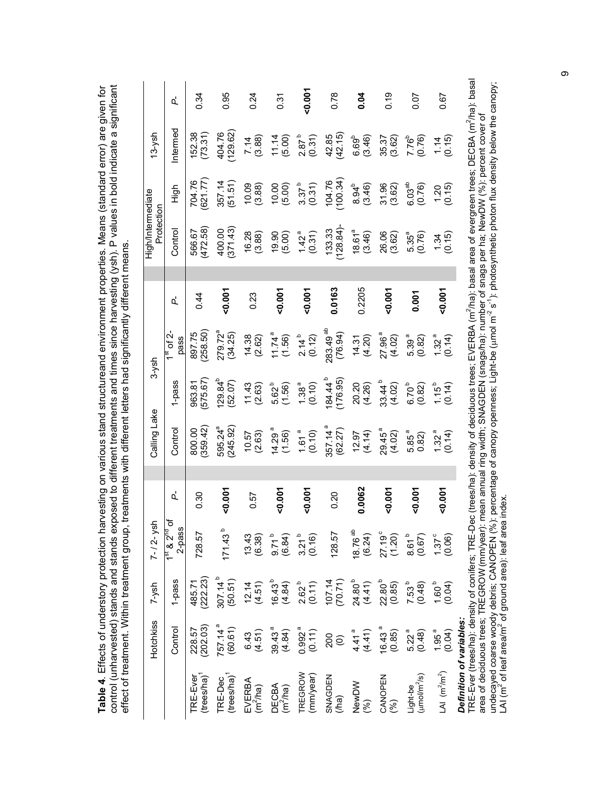| arvesting on various stand structureand environment properties. Means (standard error) are given for |                                                                                                                                                   | , treatments with different letters had significantly different means. |
|------------------------------------------------------------------------------------------------------|---------------------------------------------------------------------------------------------------------------------------------------------------|------------------------------------------------------------------------|
|                                                                                                      |                                                                                                                                                   |                                                                        |
|                                                                                                      |                                                                                                                                                   |                                                                        |
|                                                                                                      |                                                                                                                                                   |                                                                        |
|                                                                                                      |                                                                                                                                                   |                                                                        |
| Table 4. Effects of understory protection has                                                        | control (unharvested) stands and stands exposed to different treatments and times since harvesting (ysh). P values in bold indicate a significant | effect of treatment. Within treatment group.<br>こうしょう こうこうきょう ニニュー     |
|                                                                                                      |                                                                                                                                                   |                                                                        |
|                                                                                                      |                                                                                                                                                   |                                                                        |
|                                                                                                      |                                                                                                                                                   |                                                                        |

|                                 | ፈ                                                 | 0.34                                | 0.95                               | 0.24                           | 0.31                          | $-0.007$                                                                                                                     | 0.78                            | 0.04                                                      | 0.19                         | 500                                  | 0.67                        |                         |
|---------------------------------|---------------------------------------------------|-------------------------------------|------------------------------------|--------------------------------|-------------------------------|------------------------------------------------------------------------------------------------------------------------------|---------------------------------|-----------------------------------------------------------|------------------------------|--------------------------------------|-----------------------------|-------------------------|
| $13 - ysh$                      | ntermed                                           | 152.38<br>(73.31)                   | 404.76<br>(129.62)                 | $7.14$<br>(3.88)               | (5.00)                        | $2.87^{b}$<br>(0.31)                                                                                                         | 42.85<br>(42.15)                | $6.69^{b}$<br>$(3.46)$                                    | 35.37<br>(3.62)              | $7.76^b$<br>(0.76)                   | $\frac{1.14}{(0.15)}$       |                         |
|                                 | 스<br>그<br>그                                       | (621.77)<br>704.76                  | 357.14<br>(51.51)                  | (3.88)                         |                               | $(5.00)$<br>$(5.00)$<br>$3.37^b$<br>$(0.31)$                                                                                 | 104.76                          | $8.94^{b}$<br>(3.46)                                      | $31.96$<br>$(3.62)$          | 6.03 <sup>ab</sup><br>(0.76)         | (0.15)                      |                         |
| High/Intermediate<br>Protection | Control                                           | 566.67<br>(472.58)                  | 400.00<br>(371.43)                 | (3.88)                         | (5.00)                        | $1.42^a$<br>(0.31)                                                                                                           | (133.33)                        | $18.61a$<br>(3.46)                                        | 26.06<br>(3.62)              | $5.35^{a}$<br>(0.76)                 | $\frac{1.34}{(0.15)}$       |                         |
|                                 | ፈ                                                 | 0.44                                | 0.007                              | 0.23                           | 0.001                         | 0.001                                                                                                                        | 0.0163                          | 0.2205                                                    | 0.007                        | 0.001                                | 0.001                       |                         |
| $3-ysh$                         | of $2$ -<br>pass                                  | 897.75<br>(258.50)                  | 279.72 <sup>a</sup><br>(34.25)     | (2.62)                         | $11.74^a$<br>(1.56)           | $2.14^{b}$<br>(0.12)                                                                                                         | 283.49 <sup>ab</sup><br>(76.94) | (4.31)                                                    | 27.96 <sup>a</sup><br>(4.02) | 5.39 <sup>a</sup><br>(0.82)          | 1.32 <sup>a</sup><br>(0.14) |                         |
|                                 | l-pass                                            | 963.81<br>(575.67)                  | (52.07)                            | (2.63)                         | 5.62 <sup>b</sup><br>(1.56)   | $1.38^{a}$<br>(0.10)                                                                                                         | 184.44 <sup>b</sup><br>(176.95) | 20.20<br>(4.26)                                           | $33.44^{b}$<br>(4.02)        | $6.70^{b}$<br>(0.82)                 | $1.15^{b}$<br>(0.14)        |                         |
| Calling Lake                    | Control                                           | (359.42)<br>800.00                  | 595.24 <sup>a</sup><br>(245.92)    | (2.63)<br>10.57                | $(1.56)$ <sup>a</sup>         | $1.61^a$<br>(0.10)                                                                                                           | 357.14 <sup>a</sup><br>(62.27)  | (4.14)                                                    | $29.45^a$<br>(4.02)          | 5.85 <sup>a</sup><br>0.82)           | 1.32 <sup>a</sup><br>(0.14) |                         |
|                                 | ፈ                                                 | 0.30                                | 0.001                              | 0.57                           | 0.007                         | 0.001                                                                                                                        | 0.20                            | 0.0062                                                    | 0.001                        | 0.001                                | 0.007                       |                         |
| $7 - 12 - ysh$                  | ৳<br>$\frac{1^{st}$ & 2 <sup>nd</sup> c<br>2-pass | 728.57                              | 171.43 <sup>b</sup>                |                                |                               | $(6.38)$ $(6.38)$ $(6.38)$ $(6.84)$ $(6.84)$ $(0.16)$                                                                        | 128.57                          | $18.76^{ab}$<br>(6.24)                                    | $27.19^{\circ}$<br>(1.20)    | $6.61^{b}$<br>(0.67)                 | $\frac{1.37}{0.06}$         |                         |
| $7-ysh$                         | 1-pass                                            | 485.71<br>(222.23)                  | $307.14^{b}$<br>(50.51)            |                                |                               | $12.14$ $(4.51)$ $(4.84)$ $(4.84)$ $(4.84)$ $(4.84)$ $(4.84)$ $(4.84)$ $(4.84)$ $(4.84)$ $(4.84)$ $(4.84)$ $(4.85)$ $(4.86)$ |                                 |                                                           |                              | $7.53^{b}$<br>(0.48)                 | $1.60^b$<br>(0.04)          |                         |
| Hotchkiss                       | Control                                           | 228.57<br>(202.03)                  | 757.14 <sup>a</sup><br>(60.61)     |                                |                               | $(4.51)$<br>$(4.51)$<br>$39.43$ <sup>3</sup><br>$(4.84)$<br>$(0.992$ <sup>3</sup><br>$(0.11)$                                |                                 | $\begin{pmatrix} 200 \\ 0 \\ 4.41 \end{pmatrix}$<br>4.41) | $16.43a$<br>(0.85)           | $5.22^{a}$<br>(0.48)                 | $1.95^a$<br>(0.04)          |                         |
|                                 |                                                   | TRE-Ever<br>(trees/ha) <sup>1</sup> | TRE-Dec<br>(trees/ha) <sup>1</sup> | EVERBA<br>(m <sup>2</sup> /ha) | DECBA<br>(m <sup>2</sup> /ha) | TREGROW<br>(mm/year)                                                                                                         | SNAGDEN<br>(/ha)                | NewDW<br>(%)                                              | CANOPEN<br>(%)               | Light-be<br>(µmol/m <sup>2</sup> /s) | LAI $(m^2/m^2)$             | Dafinition of variables |

*Definition of variables:*

**Definition of variables:**<br>TRE-Ever (trees/ha): density of conifers; TRE-Dec (trees/ha): density of deciduous trees; EVERBA (m<sup>2</sup>/ha): basal area of evergreen trees; DECBA (m<sup>2</sup>/ha): basal<br>area of deciduous trees; TREGRO TRE-Ever (trees/ha): density of conifers; TRE-Dec (trees/ha): density of deciduous trees; EVERBA (m2/ha): basal area of evergreen trees; DECBA (m2/ha): basal undecayed coarse woody debris; CANOPEN (%): percentage of canopy openness; Light-be (µmol m<sup>-2</sup> s<sup>-1</sup>): photosynthetic photon flux density below the canopy; area of deciduous trees; TREGROW (mm/year): mean annual ring width; SNAGDEN (snags/ha): number of snags per ha; NewDW (%): percent cover of LAI (m<sup>2</sup> of leaf area/m<sup>2</sup> of ground area): leaf area index.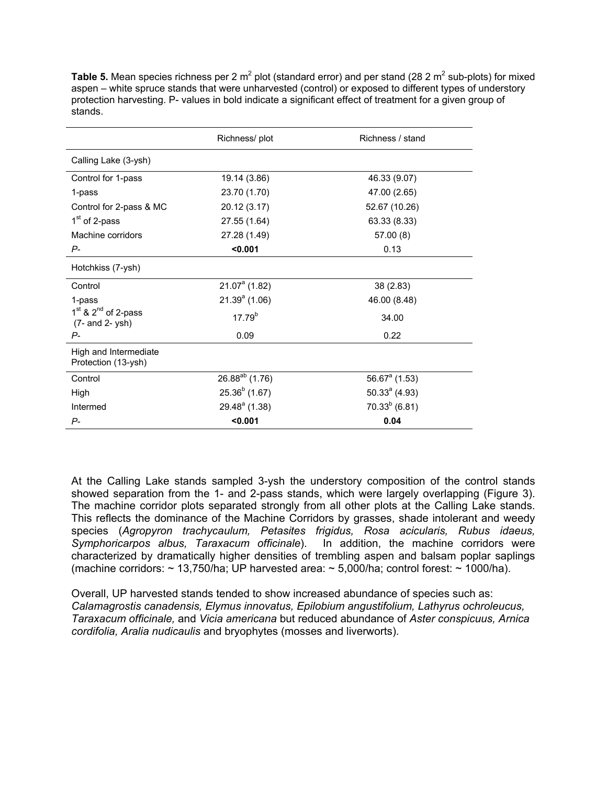|                                              | Richness/plot       | Richness / stand   |
|----------------------------------------------|---------------------|--------------------|
| Calling Lake (3-ysh)                         |                     |                    |
| Control for 1-pass                           | 19.14 (3.86)        | 46.33 (9.07)       |
| 1-pass                                       | 23.70 (1.70)        | 47.00 (2.65)       |
| Control for 2-pass & MC                      | 20.12 (3.17)        | 52.67 (10.26)      |
| 1 <sup>st</sup> of 2-pass                    | 27.55 (1.64)        | 63.33 (8.33)       |
| Machine corridors                            | 27.28 (1.49)        | 57.00 (8)          |
| $P-$                                         | < 0.001             | 0.13               |
| Hotchkiss (7-ysh)                            |                     |                    |
| Control                                      | $21.07a$ (1.82)     | 38 (2.83)          |
| 1-pass                                       | $21.39a$ (1.06)     | 46.00 (8.48)       |
| $1st$ & $2nd$ of 2-pass<br>(7- and 2- ysh)   | $17.79^{b}$         | 34.00              |
| Р-                                           | 0.09                | 0.22               |
| High and Intermediate<br>Protection (13-ysh) |                     |                    |
| Control                                      | $26.88^{ab}$ (1.76) | $56.67a$ (1.53)    |
| High                                         | $25.36^{b}$ (1.67)  | $50.33a$ (4.93)    |
| Intermed                                     | $29.48a$ (1.38)     | $70.33^{b}$ (6.81) |
| $P -$                                        | $0.001$             | 0.04               |

Table 5. Mean species richness per 2 m<sup>2</sup> plot (standard error) and per stand (28 2 m<sup>2</sup> sub-plots) for mixed aspen – white spruce stands that were unharvested (control) or exposed to different types of understory protection harvesting. P- values in bold indicate a significant effect of treatment for a given group of stands.

At the Calling Lake stands sampled 3-ysh the understory composition of the control stands showed separation from the 1- and 2-pass stands, which were largely overlapping (Figure 3). The machine corridor plots separated strongly from all other plots at the Calling Lake stands. This reflects the dominance of the Machine Corridors by grasses, shade intolerant and weedy species (*Agropyron trachycaulum, Petasites frigidus, Rosa acicularis, Rubus idaeus, Symphoricarpos albus, Taraxacum officinale*). In addition, the machine corridors were characterized by dramatically higher densities of trembling aspen and balsam poplar saplings (machine corridors:  $\sim$  13,750/ha; UP harvested area:  $\sim$  5,000/ha; control forest:  $\sim$  1000/ha).

Overall, UP harvested stands tended to show increased abundance of species such as: *Calamagrostis canadensis, Elymus innovatus, Epilobium angustifolium, Lathyrus ochroleucus, Taraxacum officinale,* and *Vicia americana* but reduced abundance of *Aster conspicuus, Arnica cordifolia, Aralia nudicaulis* and bryophytes (mosses and liverworts).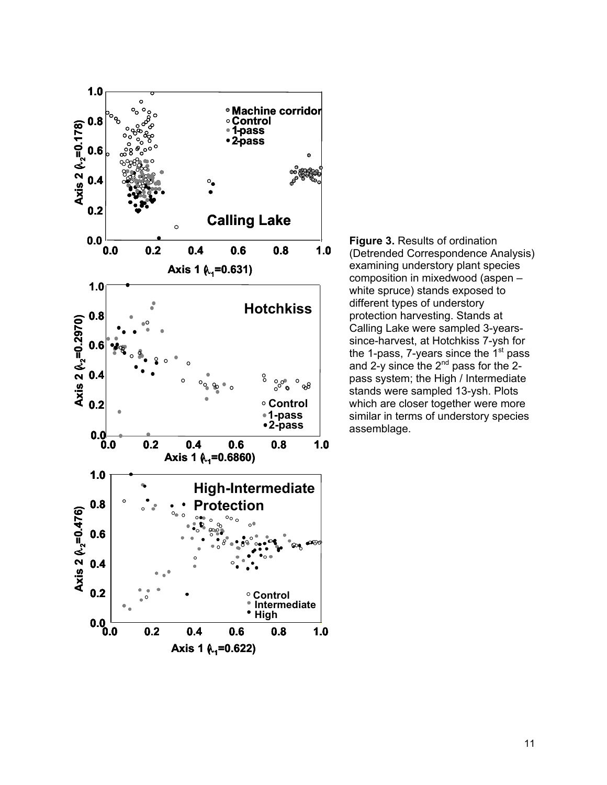

**Figure 3.** Results of ordination (Detrended Correspondence Analysis) examining understory plant species composition in mixedwood (aspen – white spruce) stands exposed to different types of understory protection harvesting. Stands at Calling Lake were sampled 3-yearssince-harvest, at Hotchkiss 7-ysh for the 1-pass,  $7$ -years since the  $1<sup>st</sup>$  pass and 2-y since the 2<sup>nd</sup> pass for the 2pass system; the High / Intermediate stands were sampled 13-ysh. Plots which are closer together were more similar in terms of understory species assemblage.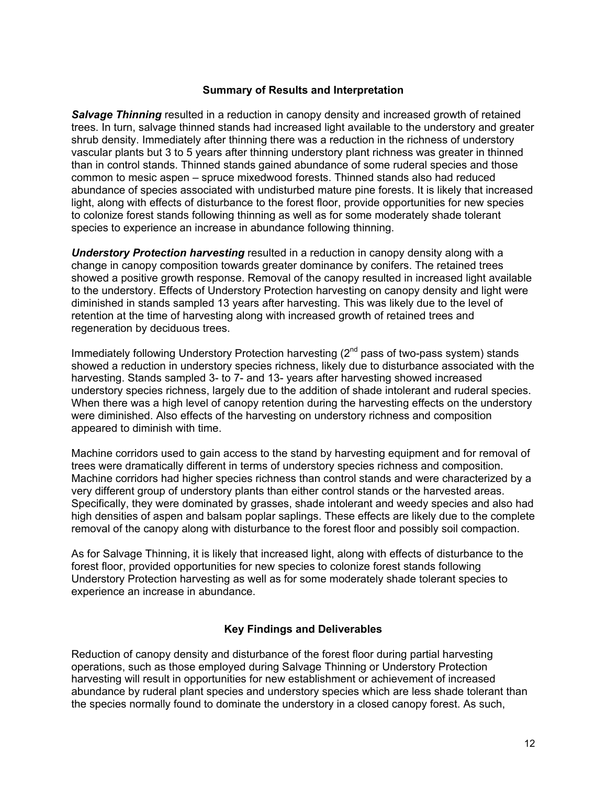### **Summary of Results and Interpretation**

*Salvage Thinning* resulted in a reduction in canopy density and increased growth of retained trees. In turn, salvage thinned stands had increased light available to the understory and greater shrub density. Immediately after thinning there was a reduction in the richness of understory vascular plants but 3 to 5 years after thinning understory plant richness was greater in thinned than in control stands. Thinned stands gained abundance of some ruderal species and those common to mesic aspen – spruce mixedwood forests. Thinned stands also had reduced abundance of species associated with undisturbed mature pine forests. It is likely that increased light, along with effects of disturbance to the forest floor, provide opportunities for new species to colonize forest stands following thinning as well as for some moderately shade tolerant species to experience an increase in abundance following thinning.

*Understory Protection harvesting* resulted in a reduction in canopy density along with a change in canopy composition towards greater dominance by conifers. The retained trees showed a positive growth response. Removal of the canopy resulted in increased light available to the understory. Effects of Understory Protection harvesting on canopy density and light were diminished in stands sampled 13 years after harvesting. This was likely due to the level of retention at the time of harvesting along with increased growth of retained trees and regeneration by deciduous trees.

Immediately following Understory Protection harvesting  $(2^{nd}$  pass of two-pass system) stands showed a reduction in understory species richness, likely due to disturbance associated with the harvesting. Stands sampled 3- to 7- and 13- years after harvesting showed increased understory species richness, largely due to the addition of shade intolerant and ruderal species. When there was a high level of canopy retention during the harvesting effects on the understory were diminished. Also effects of the harvesting on understory richness and composition appeared to diminish with time.

Machine corridors used to gain access to the stand by harvesting equipment and for removal of trees were dramatically different in terms of understory species richness and composition. Machine corridors had higher species richness than control stands and were characterized by a very different group of understory plants than either control stands or the harvested areas. Specifically, they were dominated by grasses, shade intolerant and weedy species and also had high densities of aspen and balsam poplar saplings. These effects are likely due to the complete removal of the canopy along with disturbance to the forest floor and possibly soil compaction.

As for Salvage Thinning, it is likely that increased light, along with effects of disturbance to the forest floor, provided opportunities for new species to colonize forest stands following Understory Protection harvesting as well as for some moderately shade tolerant species to experience an increase in abundance.

# **Key Findings and Deliverables**

Reduction of canopy density and disturbance of the forest floor during partial harvesting operations, such as those employed during Salvage Thinning or Understory Protection harvesting will result in opportunities for new establishment or achievement of increased abundance by ruderal plant species and understory species which are less shade tolerant than the species normally found to dominate the understory in a closed canopy forest. As such,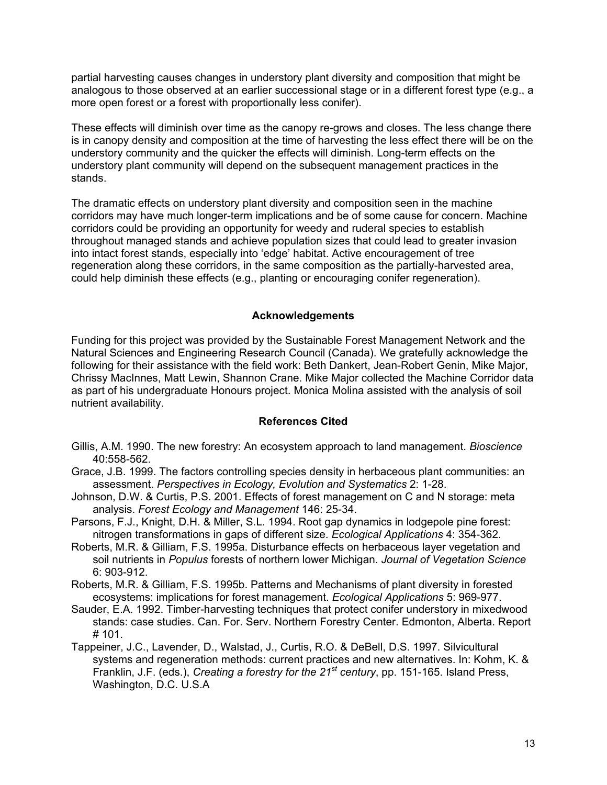partial harvesting causes changes in understory plant diversity and composition that might be analogous to those observed at an earlier successional stage or in a different forest type (e.g., a more open forest or a forest with proportionally less conifer).

These effects will diminish over time as the canopy re-grows and closes. The less change there is in canopy density and composition at the time of harvesting the less effect there will be on the understory community and the quicker the effects will diminish. Long-term effects on the understory plant community will depend on the subsequent management practices in the stands.

The dramatic effects on understory plant diversity and composition seen in the machine corridors may have much longer-term implications and be of some cause for concern. Machine corridors could be providing an opportunity for weedy and ruderal species to establish throughout managed stands and achieve population sizes that could lead to greater invasion into intact forest stands, especially into 'edge' habitat. Active encouragement of tree regeneration along these corridors, in the same composition as the partially-harvested area, could help diminish these effects (e.g., planting or encouraging conifer regeneration).

#### **Acknowledgements**

Funding for this project was provided by the Sustainable Forest Management Network and the Natural Sciences and Engineering Research Council (Canada). We gratefully acknowledge the following for their assistance with the field work: Beth Dankert, Jean-Robert Genin, Mike Major, Chrissy MacInnes, Matt Lewin, Shannon Crane. Mike Major collected the Machine Corridor data as part of his undergraduate Honours project. Monica Molina assisted with the analysis of soil nutrient availability.

#### **References Cited**

- Gillis, A.M. 1990. The new forestry: An ecosystem approach to land management. *Bioscience* 40:558-562.
- Grace, J.B. 1999. The factors controlling species density in herbaceous plant communities: an assessment. *Perspectives in Ecology, Evolution and Systematics* 2: 1-28.
- Johnson, D.W. & Curtis, P.S. 2001. Effects of forest management on C and N storage: meta analysis. *Forest Ecology and Management* 146: 25-34.
- Parsons, F.J., Knight, D.H. & Miller, S.L. 1994. Root gap dynamics in lodgepole pine forest: nitrogen transformations in gaps of different size. *Ecological Applications* 4: 354-362.
- Roberts, M.R. & Gilliam, F.S. 1995a. Disturbance effects on herbaceous layer vegetation and soil nutrients in *Populus* forests of northern lower Michigan. *Journal of Vegetation Science*  6: 903-912.
- Roberts, M.R. & Gilliam, F.S. 1995b. Patterns and Mechanisms of plant diversity in forested ecosystems: implications for forest management. *Ecological Applications* 5: 969-977.
- Sauder, E.A. 1992. Timber-harvesting techniques that protect conifer understory in mixedwood stands: case studies. Can. For. Serv. Northern Forestry Center. Edmonton, Alberta. Report  $# 101.$
- Tappeiner, J.C., Lavender, D., Walstad, J., Curtis, R.O. & DeBell, D.S. 1997. Silvicultural systems and regeneration methods: current practices and new alternatives. In: Kohm, K. & Franklin, J.F. (eds.), *Creating a forestry for the 21st century*, pp. 151-165. Island Press, Washington, D.C. U.S.A